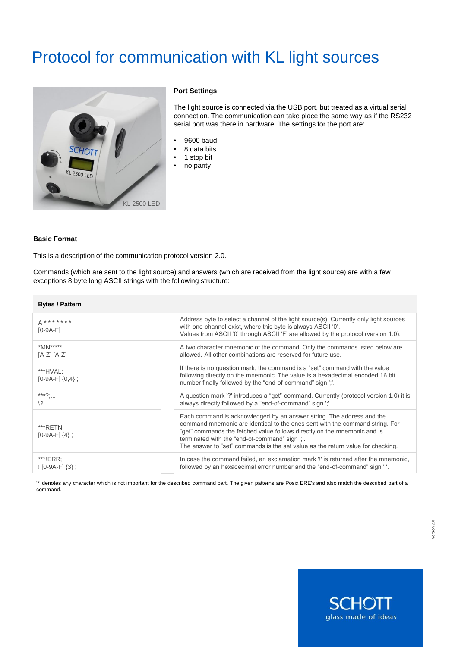# Protocol for communication with KL light sources



## **Port Settings**

The light source is connected via the USB port, but treated as a virtual serial connection. The communication can take place the same way as if the RS232 serial port was there in hardware. The settings for the port are:

- 9600 baud
- $\cdot$  8 data bits<br> $\cdot$  1 stop bit
- 1 stop bit
- no parity

#### **Basic Format**

This is a description of the communication protocol version 2.0.

Commands (which are sent to the light source) and answers (which are received from the light source) are with a few exceptions 8 byte long ASCII strings with the following structure:

| <b>Bytes / Pattern</b>             |                                                                                                                                                                                                                                                                                                                                                                        |
|------------------------------------|------------------------------------------------------------------------------------------------------------------------------------------------------------------------------------------------------------------------------------------------------------------------------------------------------------------------------------------------------------------------|
| $A******$<br>$[0-9A-F]$            | Address byte to select a channel of the light source(s). Currently only light sources<br>with one channel exist, where this byte is always ASCII '0'.<br>Values from ASCII '0' through ASCII 'F' are allowed by the protocol (version 1.0).                                                                                                                            |
| $*MN***$<br>$[A-Z] [A-Z]$          | A two character mnemonic of the command. Only the commands listed below are<br>allowed. All other combinations are reserved for future use.                                                                                                                                                                                                                            |
| ***HVAL:<br>$[0-9A-F]$ $\{0,4\}$ ; | If there is no question mark, the command is a "set" command with the value<br>following directly on the mnemonic. The value is a hexadecimal encoded 16 bit<br>number finally followed by the "end-of-command" sign ";".                                                                                                                                              |
| ***?;<br>$\langle ?;$              | A question mark '?' introduces a "get"-command. Currently (protocol version 1.0) it is<br>always directly followed by a "end-of-command" sign ";".                                                                                                                                                                                                                     |
| ***RETN;<br>$[0-9A-F]$ $\{4\}$ ;   | Each command is acknowledged by an answer string. The address and the<br>command mnemonic are identical to the ones sent with the command string. For<br>"get" commands the fetched value follows directly on the mnemonic and is<br>terminated with the "end-of-command" sign ";".<br>The answer to "set" commands is the set value as the return value for checking. |
| $***!ERR$ :<br>$[0-9A-F]{3}$ ;     | In case the command failed, an exclamation mark '!' is returned after the mnemonic,<br>followed by an hexadecimal error number and the "end-of-command" sign ";".                                                                                                                                                                                                      |

'\*' denotes any character which is not important for the described command part. The given patterns are Posix ERE's and also match the described part of a command.

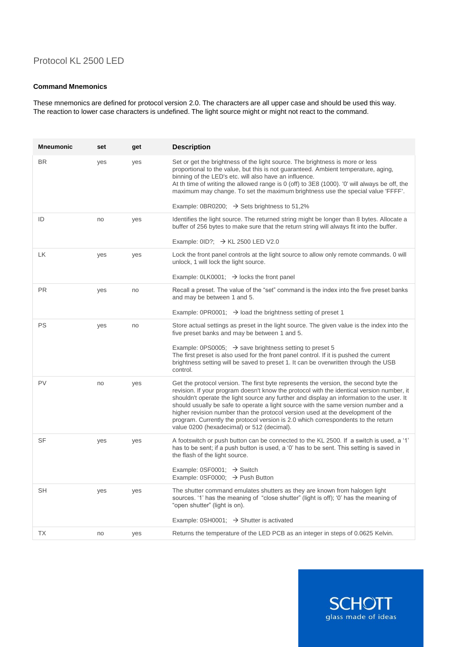# Protocol KL 2500 LED

## **Command Mnemonics**

These mnemonics are defined for protocol version 2.0. The characters are all upper case and should be used this way. The reaction to lower case characters is undefined. The light source might or might not react to the command.

| <b>Mneumonic</b> | set | get | <b>Description</b>                                                                                                                                                                                                                                                                                                                                                                                                                                                                                                                                                                          |
|------------------|-----|-----|---------------------------------------------------------------------------------------------------------------------------------------------------------------------------------------------------------------------------------------------------------------------------------------------------------------------------------------------------------------------------------------------------------------------------------------------------------------------------------------------------------------------------------------------------------------------------------------------|
| <b>BR</b>        | yes | yes | Set or get the brightness of the light source. The brightness is more or less<br>proportional to the value, but this is not guaranteed. Ambient temperature, aging,<br>binning of the LED's etc. will also have an influence.<br>At th time of writing the allowed range is 0 (off) to 3E8 (1000). '0' will always be off, the<br>maximum may change. To set the maximum brightness use the special value 'FFFF'.                                                                                                                                                                           |
|                  |     |     | Example: 0BR0200; $\rightarrow$ Sets brightness to 51,2%                                                                                                                                                                                                                                                                                                                                                                                                                                                                                                                                    |
| ID               | no  | yes | Identifies the light source. The returned string might be longer than 8 bytes. Allocate a<br>buffer of 256 bytes to make sure that the return string will always fit into the buffer.<br>Example: $0ID$ ?; $\rightarrow$ KL 2500 LED V2.0                                                                                                                                                                                                                                                                                                                                                   |
| LК               | yes | yes | Lock the front panel controls at the light source to allow only remote commands. 0 will<br>unlock, 1 will lock the light source.<br>Example: $0$ LK0001; $\rightarrow$ locks the front panel                                                                                                                                                                                                                                                                                                                                                                                                |
| <b>PR</b>        | yes | no  | Recall a preset. The value of the "set" command is the index into the five preset banks<br>and may be between 1 and 5.                                                                                                                                                                                                                                                                                                                                                                                                                                                                      |
|                  |     |     | Example: 0PR0001; $\rightarrow$ load the brightness setting of preset 1                                                                                                                                                                                                                                                                                                                                                                                                                                                                                                                     |
| PS               | yes | no  | Store actual settings as preset in the light source. The given value is the index into the<br>five preset banks and may be between 1 and 5.                                                                                                                                                                                                                                                                                                                                                                                                                                                 |
|                  |     |     | Example: 0PS0005; $\rightarrow$ save brightness setting to preset 5<br>The first preset is also used for the front panel control. If it is pushed the current<br>brightness setting will be saved to preset 1. It can be overwritten through the USB<br>control.                                                                                                                                                                                                                                                                                                                            |
| PV               | no  | yes | Get the protocol version. The first byte represents the version, the second byte the<br>revision. If your program doesn't know the protocol with the identical version number, it<br>shouldn't operate the light source any further and display an information to the user. It<br>should usually be safe to operate a light source with the same version number and a<br>higher revision number than the protocol version used at the development of the<br>program. Currently the protocol version is 2.0 which correspondents to the return<br>value 0200 (hexadecimal) or 512 (decimal). |
| <b>SF</b>        | yes | yes | A footswitch or push button can be connected to the KL 2500. If a switch is used, a '1'<br>has to be sent; if a push button is used, a '0' has to be sent. This setting is saved in<br>the flash of the light source.                                                                                                                                                                                                                                                                                                                                                                       |
|                  |     |     | Example: $0$ SF0001; $\rightarrow$ Switch<br>Example: 0SF0000; $\rightarrow$ Push Button                                                                                                                                                                                                                                                                                                                                                                                                                                                                                                    |
| <b>SH</b>        | yes | yes | The shutter command emulates shutters as they are known from halogen light<br>sources. '1' has the meaning of "close shutter" (light is off); '0' has the meaning of<br>"open shutter" (light is on).                                                                                                                                                                                                                                                                                                                                                                                       |
|                  |     |     | Example: 0SH0001; $\rightarrow$ Shutter is activated                                                                                                                                                                                                                                                                                                                                                                                                                                                                                                                                        |
| <b>TX</b>        | no  | yes | Returns the temperature of the LED PCB as an integer in steps of 0.0625 Kelvin.                                                                                                                                                                                                                                                                                                                                                                                                                                                                                                             |

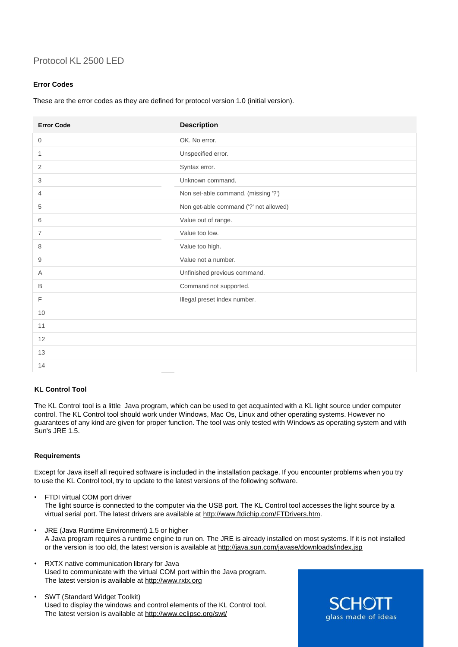# Protocol KL 2500 LED

# **Error Codes**

These are the error codes as they are defined for protocol version 1.0 (initial version).

| <b>Error Code</b> | <b>Description</b>                     |
|-------------------|----------------------------------------|
| 0                 | OK. No error.                          |
| 1                 | Unspecified error.                     |
| 2                 | Syntax error.                          |
| 3                 | Unknown command.                       |
| 4                 | Non set-able command. (missing '?')    |
| 5                 | Non get-able command ('?' not allowed) |
| 6                 | Value out of range.                    |
| 7                 | Value too low.                         |
| 8                 | Value too high.                        |
| 9                 | Value not a number.                    |
| Α                 | Unfinished previous command.           |
| B                 | Command not supported.                 |
| F                 | Illegal preset index number.           |
| 10                |                                        |
| 11                |                                        |
| 12                |                                        |
| 13                |                                        |
| 14                |                                        |

# **KL Control Tool**

The KL Control tool is a little Java program, which can be used to get acquainted with a KL light source under computer control. The KL Control tool should work under Windows, Mac Os, Linux and other operating systems. However no guarantees of any kind are given for proper function. The tool was only tested with Windows as operating system and with Sun's JRE 1.5.

# **Requirements**

Except for Java itself all required software is included in the installation package. If you encounter problems when you try to use the KL Control tool, try to update to the latest versions of the following software.

- FTDI virtual COM port driver The light source is connected to the computer via the USB port. The KL Control tool accesses the light source by a virtual serial port. The latest drivers are available at [http://www.ftdichip.com/FTDrivers.htm.](http://www.ftdichip.com/FTDrivers.htm)
- JRE (Java Runtime Environment) 1.5 or higher A Java program requires a runtime engine to run on. The JRE is already installed on most systems. If it is not installed or the version is too old, the latest version is available at <http://java.sun.com/javase/downloads/index.jsp>
- RXTX native communication library for Java Used to communicate with the virtual COM port within the Java program. The latest version is available at [http://www.rxtx.org](http://www.rxtx.org/)
- SWT (Standard Widget Toolkit) Used to display the windows and control elements of the KL Control tool. The latest version is available at <http://www.eclipse.org/swt/>